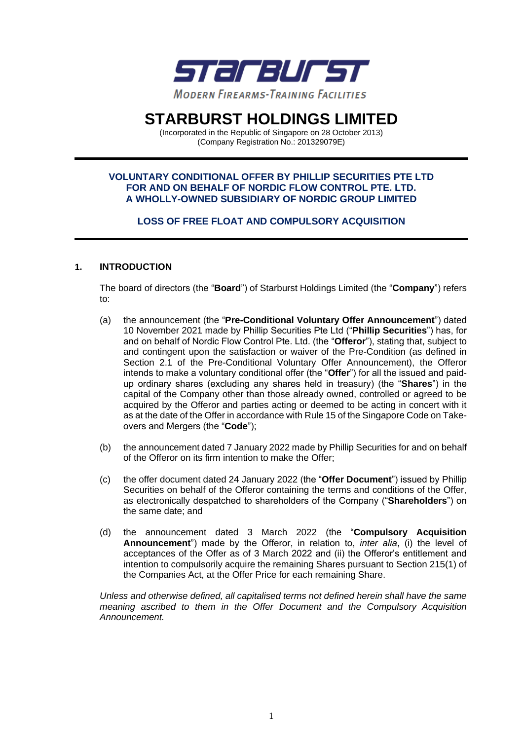

# **STARBURST HOLDINGS LIMITED**

(Incorporated in the Republic of Singapore on 28 October 2013) (Company Registration No.: 201329079E)

#### **VOLUNTARY CONDITIONAL OFFER BY PHILLIP SECURITIES PTE LTD FOR AND ON BEHALF OF NORDIC FLOW CONTROL PTE. LTD. A WHOLLY-OWNED SUBSIDIARY OF NORDIC GROUP LIMITED**

## **LOSS OF FREE FLOAT AND COMPULSORY ACQUISITION**

#### **1. INTRODUCTION**

The board of directors (the "**Board**") of Starburst Holdings Limited (the "**Company**") refers to:

- (a) the announcement (the "**Pre-Conditional Voluntary Offer Announcement**") dated 10 November 2021 made by Phillip Securities Pte Ltd ("**Phillip Securities**") has, for and on behalf of Nordic Flow Control Pte. Ltd. (the "**Offeror**"), stating that, subject to and contingent upon the satisfaction or waiver of the Pre-Condition (as defined in Section 2.1 of the Pre-Conditional Voluntary Offer Announcement), the Offeror intends to make a voluntary conditional offer (the "**Offer**") for all the issued and paidup ordinary shares (excluding any shares held in treasury) (the "**Shares**") in the capital of the Company other than those already owned, controlled or agreed to be acquired by the Offeror and parties acting or deemed to be acting in concert with it as at the date of the Offer in accordance with Rule 15 of the Singapore Code on Takeovers and Mergers (the "**Code**");
- (b) the announcement dated 7 January 2022 made by Phillip Securities for and on behalf of the Offeror on its firm intention to make the Offer;
- (c) the offer document dated 24 January 2022 (the "**Offer Document**") issued by Phillip Securities on behalf of the Offeror containing the terms and conditions of the Offer, as electronically despatched to shareholders of the Company ("**Shareholders**") on the same date; and
- (d) the announcement dated 3 March 2022 (the "**Compulsory Acquisition Announcement**") made by the Offeror, in relation to, *inter alia*, (i) the level of acceptances of the Offer as of 3 March 2022 and (ii) the Offeror's entitlement and intention to compulsorily acquire the remaining Shares pursuant to Section 215(1) of the Companies Act, at the Offer Price for each remaining Share.

*Unless and otherwise defined, all capitalised terms not defined herein shall have the same meaning ascribed to them in the Offer Document and the Compulsory Acquisition Announcement.*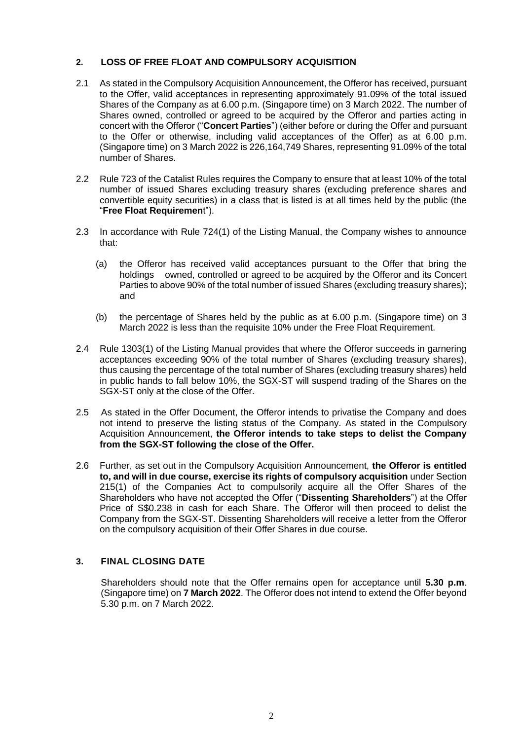## **2. LOSS OF FREE FLOAT AND COMPULSORY ACQUISITION**

- 2.1 As stated in the Compulsory Acquisition Announcement, the Offeror has received, pursuant to the Offer, valid acceptances in representing approximately 91.09% of the total issued Shares of the Company as at 6.00 p.m. (Singapore time) on 3 March 2022. The number of Shares owned, controlled or agreed to be acquired by the Offeror and parties acting in concert with the Offeror ("**Concert Parties**") (either before or during the Offer and pursuant to the Offer or otherwise, including valid acceptances of the Offer) as at 6.00 p.m. (Singapore time) on 3 March 2022 is 226,164,749 Shares, representing 91.09% of the total number of Shares.
- 2.2 Rule 723 of the Catalist Rules requires the Company to ensure that at least 10% of the total number of issued Shares excluding treasury shares (excluding preference shares and convertible equity securities) in a class that is listed is at all times held by the public (the "**Free Float Requiremen**t").
- 2.3 In accordance with Rule 724(1) of the Listing Manual, the Company wishes to announce that:
	- (a) the Offeror has received valid acceptances pursuant to the Offer that bring the holdings owned, controlled or agreed to be acquired by the Offeror and its Concert Parties to above 90% of the total number of issued Shares (excluding treasury shares); and
	- (b) the percentage of Shares held by the public as at 6.00 p.m. (Singapore time) on 3 March 2022 is less than the requisite 10% under the Free Float Requirement.
- 2.4 Rule 1303(1) of the Listing Manual provides that where the Offeror succeeds in garnering acceptances exceeding 90% of the total number of Shares (excluding treasury shares), thus causing the percentage of the total number of Shares (excluding treasury shares) held in public hands to fall below 10%, the SGX-ST will suspend trading of the Shares on the SGX-ST only at the close of the Offer.
- 2.5 As stated in the Offer Document, the Offeror intends to privatise the Company and does not intend to preserve the listing status of the Company. As stated in the Compulsory Acquisition Announcement, **the Offeror intends to take steps to delist the Company from the SGX-ST following the close of the Offer.**
- 2.6 Further, as set out in the Compulsory Acquisition Announcement, **the Offeror is entitled to, and will in due course, exercise its rights of compulsory acquisition** under Section 215(1) of the Companies Act to compulsorily acquire all the Offer Shares of the Shareholders who have not accepted the Offer ("**Dissenting Shareholders**") at the Offer Price of S\$0.238 in cash for each Share. The Offeror will then proceed to delist the Company from the SGX-ST. Dissenting Shareholders will receive a letter from the Offeror on the compulsory acquisition of their Offer Shares in due course.

#### **3. FINAL CLOSING DATE**

Shareholders should note that the Offer remains open for acceptance until **5.30 p.m**. (Singapore time) on **7 March 2022**. The Offeror does not intend to extend the Offer beyond 5.30 p.m. on 7 March 2022.